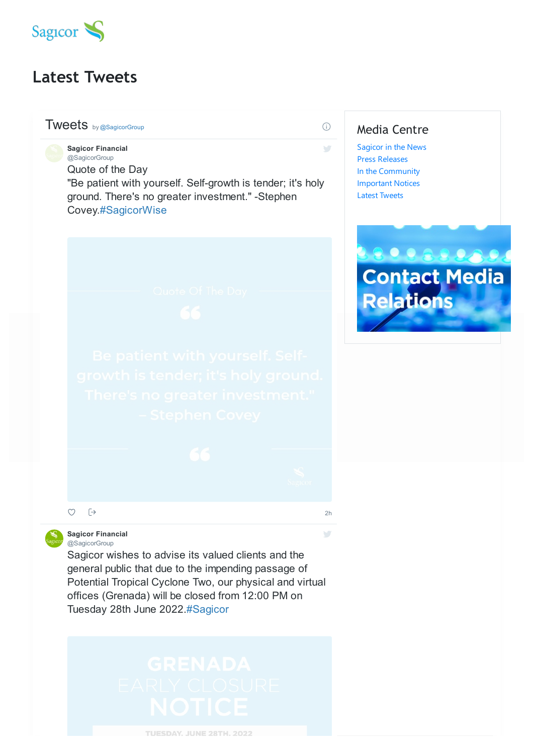

# **Latest Tweets**

## Tweets by @SagicorGroup

Quote of the Day "Be patient with yourself. Self-growth is tender; it's holy ground. There's no greater investment." -Stephen Covey.#SagicorWise **Sagicor Financial** @SagicorGroup



### **Sagicor Financial** @SagicorGroup

 $\Box$  $\circ$ 

Sagicor wishes to advise its valued clients and the general public that due to the impending passage of Potential Tropical Cyclone Two, our physical and virtual offices (Grenada) will be closed from 12:00 PM on Tuesday 28th June 2022.#Sagicor

# Media Centre

 $(i)$ 

 $\mathcal{C}^{\mathcal{A}}$ 

2h

 $\mathcal{L}^{\mathcal{L}}$ 

[Sagicor](https://www.sagicor.com/en-BZ/Media-Centre/Sagicor-in-the-News) in the News Press [Releases](https://www.sagicor.com/en-BZ/Press-Release) In the [Community](https://www.sagicor.com/en-BZ/News) [Important](https://www.sagicor.com/en-BZ/Media-Centre/Important-Notices) Notices Latest [Tweets](https://www.sagicor.com/en-BZ/News)



TUESDAY. JUNE 28TH. 2022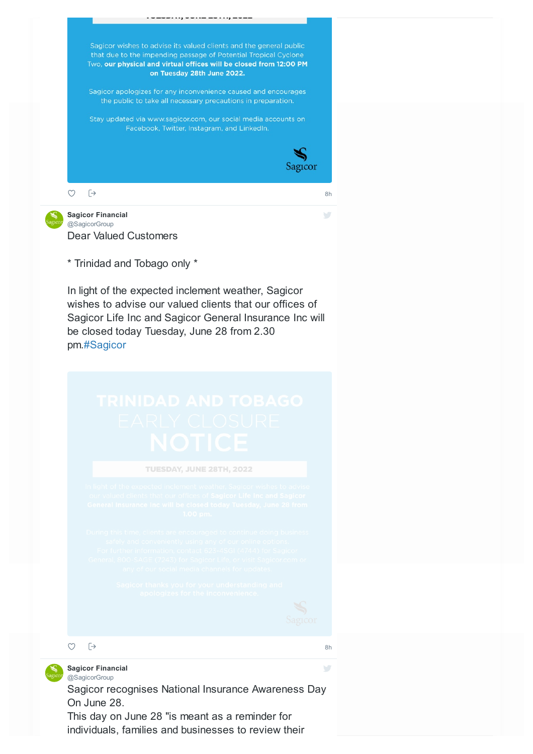

individuals, families and businesses to review their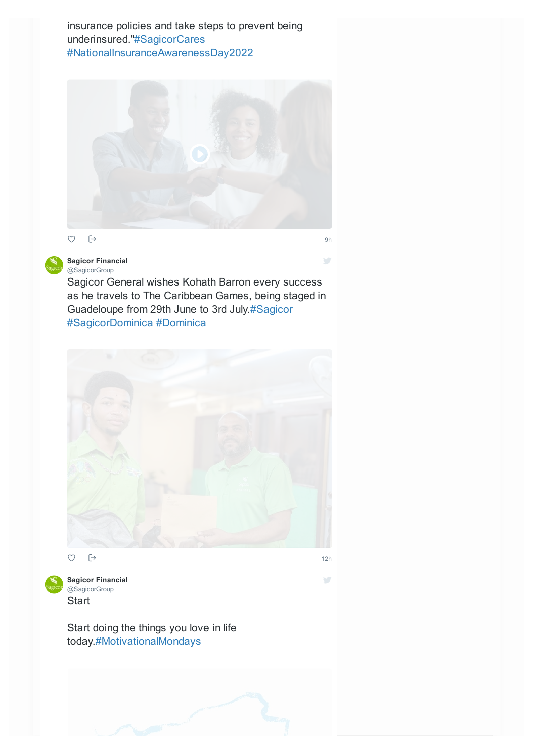insurance policies and take steps to prevent being underinsured."#SagicorCares #NationalInsuranceAwarenessDay2022





## **Sagicor Financial** @SagicorGroup

Sagicor General wishes Kohath Barron every success as he travels to The Caribbean Games, being staged in Guadeloupe from 29th June to 3rd July.#Sagicor #SagicorDominica #Dominica





12h

 $\sum$ 

 $\frac{1}{2}$ 

**Start Sagicor Financial** @SagicorGroup

Start doing the things you love in life today.#MotivationalMondays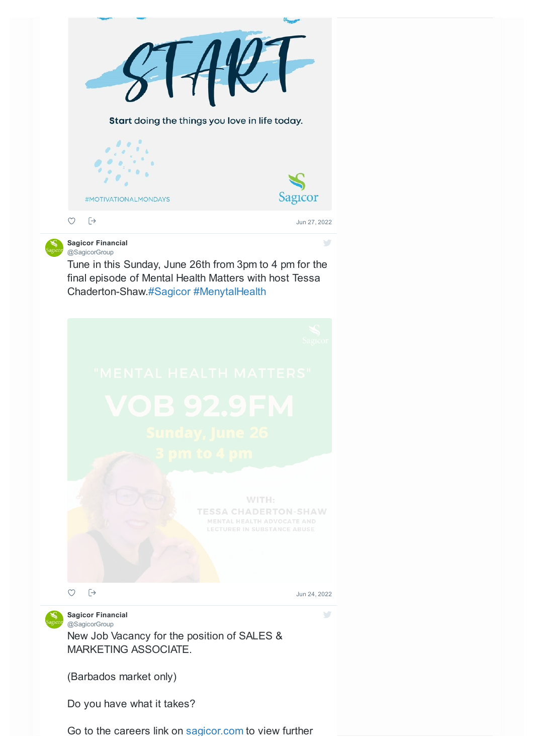

(Barbados market only)

Do you have what it takes?

Go to the careers link on sagicor.com to view further